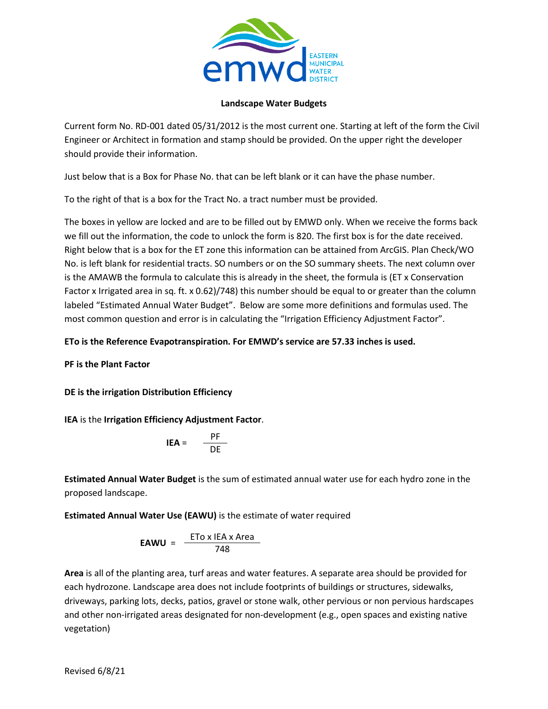

## **Landscape Water Budgets**

Current form No. RD-001 dated 05/31/2012 is the most current one. Starting at left of the form the Civil Engineer or Architect in formation and stamp should be provided. On the upper right the developer should provide their information.

Just below that is a Box for Phase No. that can be left blank or it can have the phase number.

To the right of that is a box for the Tract No. a tract number must be provided.

The boxes in yellow are locked and are to be filled out by EMWD only. When we receive the forms back we fill out the information, the code to unlock the form is 820. The first box is for the date received. Right below that is a box for the ET zone this information can be attained from ArcGIS. Plan Check/WO No. is left blank for residential tracts. SO numbers or on the SO summary sheets. The next column over is the AMAWB the formula to calculate this is already in the sheet, the formula is (ET x Conservation Factor x Irrigated area in sq. ft. x 0.62)/748) this number should be equal to or greater than the column labeled "Estimated Annual Water Budget". Below are some more definitions and formulas used. The most common question and error is in calculating the "Irrigation Efficiency Adjustment Factor".

## **ETo is the Reference Evapotranspiration. For EMWD's service are 57.33 inches is used.**

**PF is the Plant Factor**

**DE is the irrigation Distribution Efficiency**

**IEA** is the **Irrigation Efficiency Adjustment Factor**.

$$
IEA = \frac{PF}{DE}
$$

**Estimated Annual Water Budget** is the sum of estimated annual water use for each hydro zone in the proposed landscape.

**Estimated Annual Water Use (EAWU)** is the estimate of water required

$$
EAWU = \frac{ETo \times IEA \times Area}{748}
$$

**Area** is all of the planting area, turf areas and water features. A separate area should be provided for each hydrozone. Landscape area does not include footprints of buildings or structures, sidewalks, driveways, parking lots, decks, patios, gravel or stone walk, other pervious or non pervious hardscapes and other non-irrigated areas designated for non-development (e.g., open spaces and existing native vegetation)